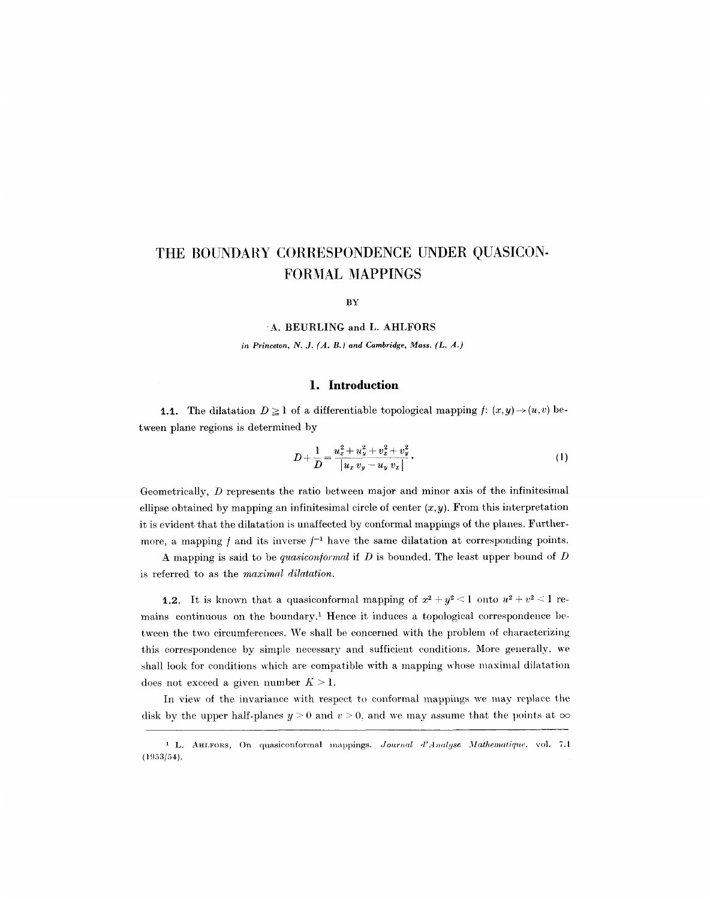# **THE BOUNDARY CORRESPONDENCE UNDER QUASICON-FORMAL MAPPINGS**

**BY** 

**A. BEURLING and L. AHLFORS** 

in Princeton, N. J.  $(A, B)$  and Cambridge, Mass.  $(L, A)$ 

#### **1. Introduction**

**1.1.** The dilatation  $D \ge 1$  of a differentiable topological mapping  $f: (x, y) \rightarrow (u, v)$  between plane regions is determined by

$$
D + \frac{1}{D} = \frac{u_x^2 + u_y^2 + v_x^2 + v_y^2}{|u_x v_y - u_y v_x|}.
$$
 (1)

Geometrically, D represents the ratio between major and minor axis of the infinitesimal ellipse obtained by mapping an infinitesimal circle of center  $(x, y)$ . From this interpretation it is evident that the dilatation is unaffected by conformal mappings of the planes. Furthermore, a mapping  $f$  and its inverse  $f^{-1}$  have the same dilatation at corresponding points.

A mapping is said to be *quasicon/ormal* if D is bounded. The least upper bound of D is referred to as the *maximal dilatation.* 

**1.2.** It is known that a quasiconformal mapping of  $x^2 + y^2 < 1$  onto  $u^2 + v^2 < 1$  remains continuous on the boundary.<sup>1</sup> Hence it induces a topological correspondence between the two circumferences. We shall be concerned with the problem of characterizing this correspondence by simple necessary and sufficient conditions. More generally, we shall look for conditions which are compatible with a mapping whose maximal dilatation does not exceed a given number  $K > 1$ .

In view of the invariance with respect to conformal mappfngs we may replace the disk by the upper half-planes  $y > 0$  and  $v > 0$ , and we may assume that the points at  $\infty$ 

<sup>&</sup>lt;sup>1</sup> L. AHLFORS, On quasiconformal mappings. *Journal d'Analyse Mathematique*, vol. 7.1  $(1953/54).$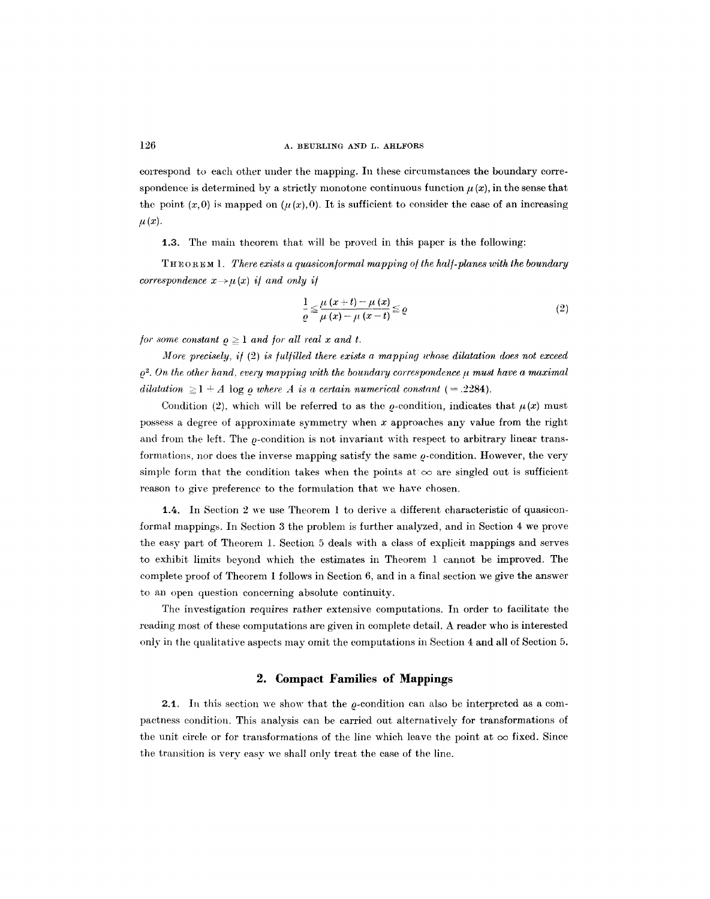correspond to each other under the mapping. In these circumstances the boundary correspondence is determined by a strictly monotone continuous function  $\mu(x)$ , in the sense that the point  $(x,0)$  is mapped on  $(\mu(x),0)$ . It is sufficient to consider the case of an increasing  $\mu(x).$ 

t.3. The main theorem that will be proved in this paper is the following:

THEOREM 1. *There exists a quasicon/ormal mapping o/ the hal/-planes with the boundary correspondence*  $x \rightarrow \mu(x)$  *if and only if* 

$$
\frac{1}{\varrho} \leq \frac{\mu(x+t) - \mu(x)}{\mu(x) - \mu(x-t)} \leq \varrho
$$
\n(2)

*for some constant*  $\rho \geq 1$  *and for all real x and t.* 

*More precisely, if (2) is fulfilled there exists a mapping whose dilatation does not exceed*  $\rho^2$ . On the other hand, every mapping with the boundary correspondence  $\mu$  must have a maximal *dilatation*  $\geq$  1  $\div$  *A* log *o where A is a certain numerical constant* (= .2284).

Condition (2), which will be referred to as the  $\rho$ -condition, indicates that  $\mu(x)$  must possess a degree of approximate symmetry when  $x$  approaches any value from the right and from the left. The  $\rho$ -condition is not invariant with respect to arbitrary linear transformations, nor does the inverse mapping satisfy the same  $\rho$ -condition. However, the very simple form that the condition takes when the points at  $\infty$  are singled out is sufficient reason to give preference to the formulation that we have chosen.

1.4. In Section 2 we use Theorem 1 to derive a different characteristic of quasiconformal mappings. In Section 3 the problem is further analyzed, and in Section 4 we prove the easy part of Theorem 1. Section 5 deals with a class of explicit mappings and serves to exhibit limits beyond which the estimates in Theorem 1 cannot be improved. The complete proof of Theorem 1 follows in Section 6, and in a final section we give the answer to an open question concerning absolute continuity.

The investigation requires rather extensive computations. In order to facilitate the reading most of these computations are given in complete detail. A reader who is interested only in the qualitative aspects may omit the computations in Section 4 and all of Section 5.

### **2. Compact Families of Mappings**

**2.1.** In this section we show that the  $\rho$ -condition can also be interpreted as a compactness condition. This analysis can be carried out alternatively for transformations of the unit circle or for transformations of the line which leave the point at  $\infty$  fixed. Since the transition is very easy we shall only treat the case of the line.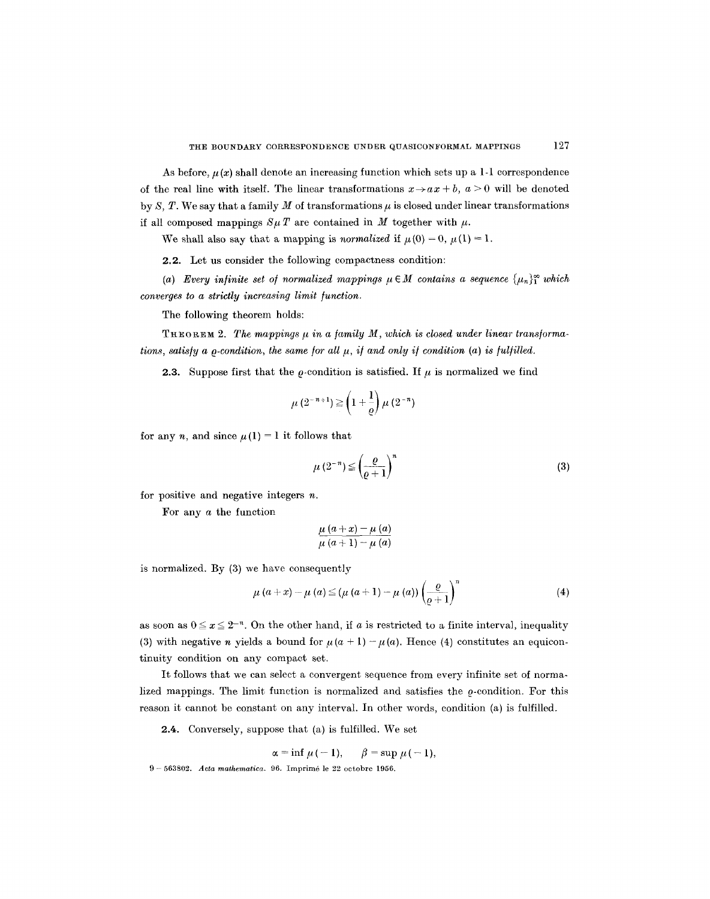As before,  $\mu(x)$  shall denote an increasing function which sets up a 1-1 correspondence of the real line with itself. The linear transformations  $x \rightarrow a x + b$ ,  $a > 0$  will be denoted by S, T. We say that a family M of transformations  $\mu$  is closed under linear transformations if all composed mappings  $S\mu T$  are contained in M together with  $\mu$ .

We shall also say that a mapping is *normalized* if  $\mu(0) = 0$ ,  $\mu(1) = 1$ .

2.2. Let us consider the following compactness condition:

(a) Every infinite set of normalized mappings  $\mu \in M$  contains a sequence  $\{\mu_n\}_{1}^{\infty}$  which *converges to a strictly increasing limit function.* 

The following theorem holds:

THEOREM 2. The mappings  $\mu$  in a family M, which is closed under linear transforma*tions, satisfy a*  $\rho$ *-condition, the same for all*  $\mu$ *, if and only if condition (a) is fulfilled.* 

**2.3.** Suppose first that the  $\rho$ -condition is satisfied. If  $\mu$  is normalized we find

$$
\mu\left(2^{-n+1}\right) \geq \left(1+\frac{1}{\varrho}\right)\mu\left(2^{-n}\right)
$$

for any n, and since  $\mu(1) = 1$  it follows that

$$
\mu\left(2^{-n}\right) \le \left(\frac{\varrho}{\varrho+1}\right)^n\tag{3}
$$

for positive and negative integers  $n$ .

For any a the function

$$
\frac{\mu (a+x)-\mu (a)}{\mu (a+1)-\mu (a)}
$$

is normalized. By (3) we have consequently

$$
\mu(a+x)-\mu(a) \leq (\mu(a+1)-\mu(a))\left(\frac{\varrho}{\varrho+1}\right)^n \tag{4}
$$

as soon as  $0 \leq x \leq 2^{-n}$ . On the other hand, if a is restricted to a finite interval, inequality (3) with negative *n* yields a bound for  $\mu(a + 1) - \mu(a)$ . Hence (4) constitutes an equicontinuity condition on any compact set.

It follows that we can select a convergent sequence from every infinite set of normalized mappings. The limit function is normalized and satisfies the  $\rho$ -condition. For this reason it cannot be constant on any interval. In other words, condition (a) is fulfilled.

2.4. Conversely, suppose that (a) is fulfilled. We set

 $\alpha = \inf \mu (-1), \quad \beta = \sup \mu (-1),$ 

<sup>9- 563802.</sup> *Acta rnathematica.* 96. Imprira4 le 22 octobre 1956.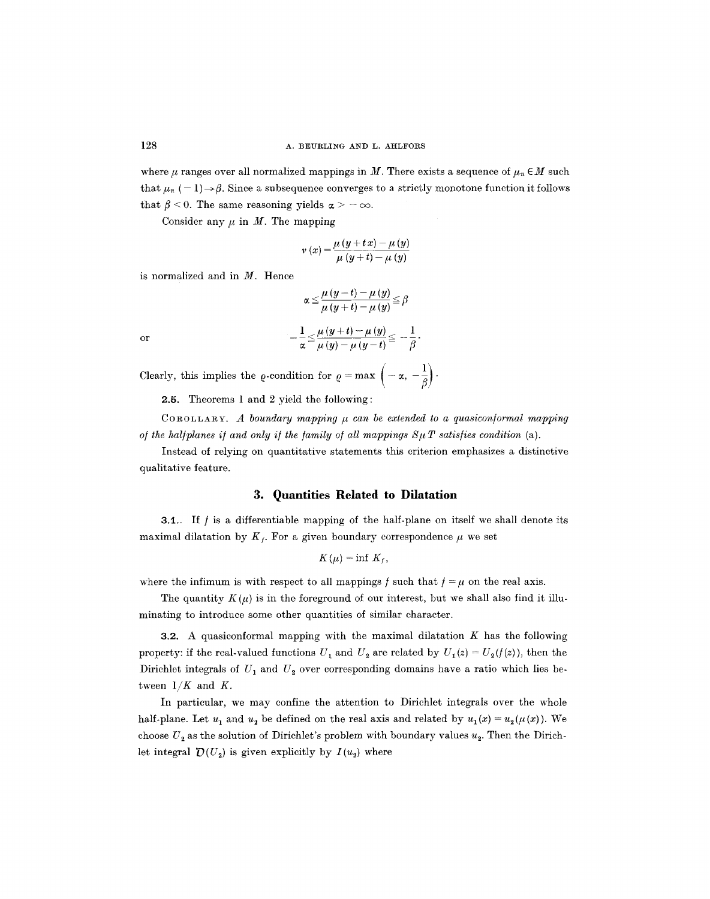where  $\mu$  ranges over all normalized mappings in M. There exists a sequence of  $\mu_n \in M$  such that  $\mu_n$  (-1) $\rightarrow \beta$ . Since a subsequence converges to a strictly monotone function it follows that  $\beta$  < 0. The same reasoning yields  $\alpha$  > -  $\infty$ .

Consider any  $\mu$  in M. The mapping

$$
\nu(x) = \frac{\mu(y + tx) - \mu(y)}{\mu(y + t) - \mu(y)}
$$

is normalized and in  $M$ . Hence

$$
\alpha \leq \frac{\mu (y-t) - \mu (y)}{\mu (y+t) - \mu (y)} \leq \beta
$$

$$
-\frac{1}{\alpha} \leq \frac{\mu (y+t) - \mu (y)}{\mu (y) - \mu (y-t)} \leq -\frac{1}{\beta}.
$$

or

Clearly, this implies the  $\rho$ -condition for  $\rho = \max \left(-\alpha, -\frac{1}{\beta}\right)$ .

2.5. Theorems 1 and 2 yield the following:

COROLLARY. A boundary mapping  $\mu$  can be extended to a quasiconformal mapping *of the halfplanes if and only if the family of all mappings*  $S \mu T$  *satisfies condition (a).* 

Instead of relying on quantitative statements this criterion emphasizes a distinctive qualitative feature.

## **3. Quantities Related to Dilatation**

**3.1.**. If  $f$  is a differentiable mapping of the half-plane on itself we shall denote its maximal dilatation by  $K_f$ . For a given boundary correspondence  $\mu$  we set

$$
K(\mu)=\inf K_f,
$$

where the infimum is with respect to all mappings f such that  $f = \mu$  on the real axis.

The quantity  $K(\mu)$  is in the foreground of our interest, but we shall also find it illuminating to introduce some other quantities of similar character.

**3.2.** A quasiconformal mapping with the maximal dilatation  $K$  has the following property: if the real-valued functions  $U_1$  and  $U_2$  are related by  $U_1(z) = U_2(f(z))$ , then the Dirichlet integrals of  $U_1$  and  $U_2$  over corresponding domains have a ratio which lies between  $1/K$  and  $K$ .

In particular, we may confine the attention to Dirichlet integrals over the whole half-plane. Let  $u_1$  and  $u_2$  be defined on the real axis and related by  $u_1(x) = u_2(\mu(x))$ . We choose  $U_2$  as the solution of Dirichlet's problem with boundary values  $u_2$ . Then the Dirichlet integral  $\mathcal{D}(U_2)$  is given explicitly by  $I(u_2)$  where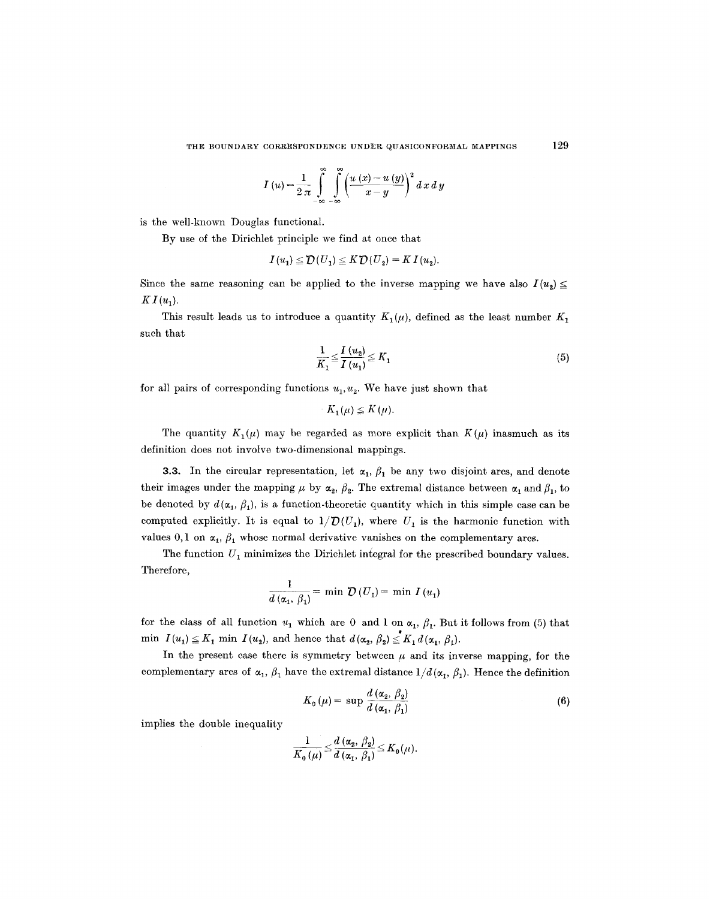$$
I(u) = \frac{1}{2\pi} \int_{-\infty}^{\infty} \int_{-\infty}^{\infty} \left( \frac{u(x) - u(y)}{x - y} \right)^2 dx dy
$$

is the well-known Douglas functional.

By use of the Dirichlet principle we find at once that

$$
I(u_1) \leq \mathcal{D}(U_1) \leq K \mathcal{D}(U_2) = K I(u_2).
$$

Since the same reasoning can be applied to the inverse mapping we have also  $I(u_2) \leq$  $KI(u_1)$ .

This result leads us to introduce a quantity  $K_1(\mu)$ , defined as the least number  $K_1$ such that

$$
\frac{1}{K_1} \le \frac{I(u_2)}{I(u_1)} \le K_1
$$
\n<sup>(5)</sup>

for all pairs of corresponding functions  $u_1, u_2$ . We have just shown that

$$
K_1(\mu) \leq K(\mu).
$$

The quantity  $K_1(\mu)$  may be regarded as more explicit than  $K(\mu)$  inasmuch as its definition does not involve two-dimensional mappings.

3.3. In the circular representation, let  $\alpha_1, \beta_1$  be any two disjoint arcs, and denote their images under the mapping  $\mu$  by  $\alpha_2$ ,  $\beta_2$ . The extremal distance between  $\alpha_1$  and  $\beta_1$ , to be denoted by  $d(\alpha_1, \beta_1)$ , is a function-theoretic quantity which in this simple case can be computed explicitly. It is equal to  $1/\mathcal{D}(U_1)$ , where  $U_1$  is the harmonic function with values 0,1 on  $\alpha_1$ ,  $\beta_1$  whose normal derivative vanishes on the complementary arcs.

The function  $U_1$  minimizes the Dirichlet integral for the prescribed boundary values. Therefore,

$$
\frac{1}{d\left(\alpha_1, \beta_1\right)} = \min \mathcal{D}\left(U_1\right) = \min I\left(u_1\right)
$$

for the class of all function  $u_1$  which are 0 and 1 on  $\alpha_1$ ,  $\beta_1$ . But it follows from (5) that min  $I(u_1) \leq K_1$  min  $I(u_2)$ , and hence that  $d(\alpha_2, \beta_2) \leq K_1 d(\alpha_1, \beta_1)$ .

In the present case there is symmetry between  $\mu$  and its inverse mapping, for the complementary arcs of  $\alpha_1$ ,  $\beta_1$  have the extremal distance  $1/d(\alpha_1, \beta_1)$ . Hence the definition

$$
K_0(\mu) = \sup \frac{d(\alpha_2, \beta_2)}{d(\alpha_1, \beta_1)}
$$
(6)

implies the double inequality

$$
\frac{1}{K_{0}\left(\mu\right)} \leqq \frac{d\left(\alpha_{2},\ \beta_{2}\right)}{d\left(\alpha_{1},\ \beta_{1}\right)} \leqq K_{0}\left(\mu\right)
$$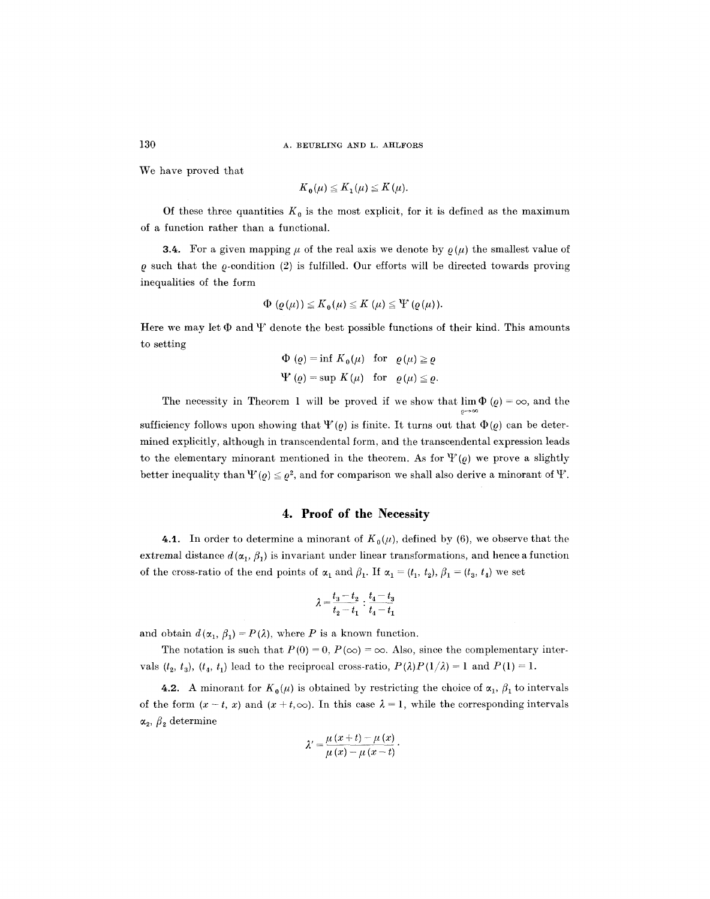130 A. BEURLING AND L. AHLFORS

We have proved that

$$
K_0(\mu) \leq K_1(\mu) \leq K(\mu).
$$

Of these three quantities  $K_0$  is the most explicit, for it is defined as the maximum of a function rather than a functional.

**3.4.** For a given mapping  $\mu$  of the real axis we denote by  $\rho(\mu)$  the smallest value of  $\rho$  such that the  $\rho$ -condition (2) is fulfilled. Our efforts will be directed towards proving inequalities of the form

$$
\Phi(\varrho(\mu)) \leq K_0(\mu) \leq K(\mu) \leq \Psi(\varrho(\mu)).
$$

Here we may let  $\Phi$  and  $\Psi$  denote the best possible functions of their kind. This amounts to setting

$$
\Phi(\varrho) = \inf K_0(\mu) \text{ for } \varrho(\mu) \ge \varrho
$$
  
\n
$$
\Psi(\varrho) = \sup K(\mu) \text{ for } \varrho(\mu) \le \varrho.
$$

The necessity in Theorem 1 will be proved if we show that  $\lim \Phi(q) = \infty$ , and the

sufficiency follows upon showing that  $\Psi(\varrho)$  is finite. It turns out that  $\Phi(\varrho)$  can be determined explicitly, although in transcendental form, and the transcendental expression leads to the elementary minorant mentioned in the theorem. As for  $\Psi(\varrho)$  we prove a slightly better inequality than  $\Psi(\varrho) \leq \varrho^2$ , and for comparison we shall also derive a minorant of  $\Psi$ .

## **4. Proof of the Necessity**

4.1. In order to determine a minorant of  $K_0(\mu)$ , defined by (6), we observe that the extremal distance  $d(\alpha_1,\beta_1)$  is invariant under linear transformations, and hence a function of the cross-ratio of the end points of  $\alpha_1$  and  $\beta_1$ . If  $\alpha_1 = (t_1, t_2), \beta_1 = (t_3, t_4)$  we set

$$
\lambda=\dfrac{t_3-t_2}{t_2-t_1}:\dfrac{t_4-t_3}{t_4-t_1}
$$

and obtain  $d(\alpha_1, \beta_1) = P(\lambda)$ , where P is a known function.

The notation is such that  $P(0) = 0$ ,  $P(\infty) = \infty$ . Also, since the complementary intervals  $(t_2, t_3)$ ,  $(t_4, t_1)$  lead to the reciprocal cross-ratio,  $P(\lambda)P(1/\lambda) = 1$  and  $P(1) = 1$ .

4.2. A minorant for  $K_0(\mu)$  is obtained by restricting the choice of  $\alpha_1, \beta_1$  to intervals of the form  $(x - t, x)$  and  $(x + t, \infty)$ . In this case  $\lambda = 1$ , while the corresponding intervals  $\alpha_2$ ,  $\beta_2$  determine

$$
\lambda'=\frac{\mu\left(x+t\right)-\mu\left(x\right)}{\mu\left(x\right)-\mu\left(x-t\right)}.
$$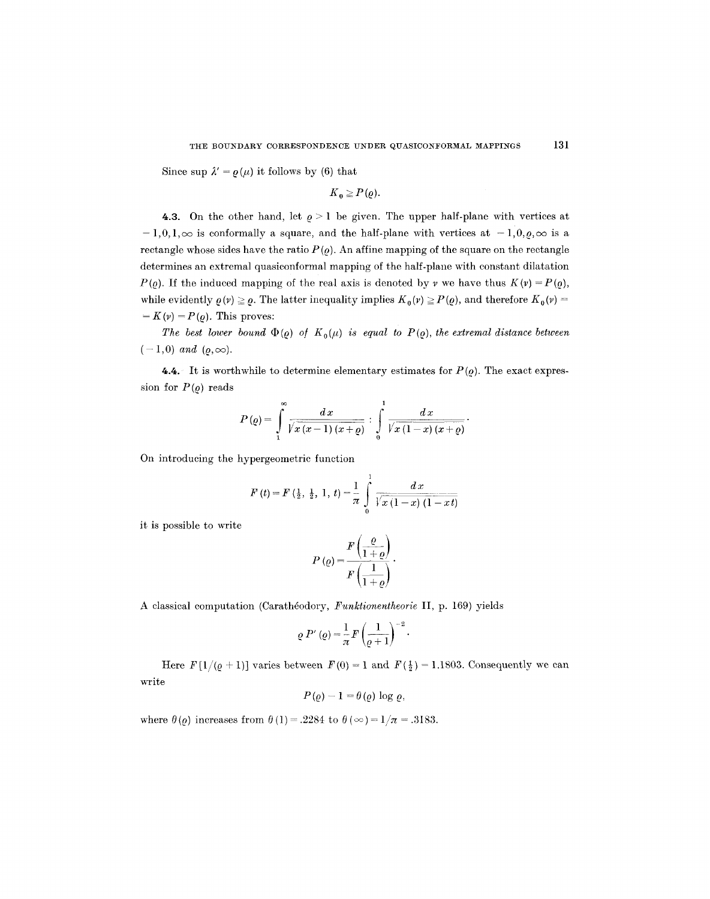Since sup  $\lambda' = \varrho(\mu)$  it follows by (6) that

$$
K_0 \geq P(\varrho).
$$

4.3. On the other hand, let  $\rho > 1$  be given. The upper half-plane with vertices at  $-1,0,1,\infty$  is conformally a square, and the half-plane with vertices at  $-1,0,0,\infty$  is a rectangle whose sides have the ratio  $P(\rho)$ . An affine mapping of the square on the rectangle determines an extremal quasiconformal mapping of the half-plane with constant dilatation  $P(\rho)$ . If the induced mapping of the real axis is denoted by v we have thus  $K(\nu) = P(\rho)$ , while evidently  $\rho(r) \geq \rho$ . The latter inequality implies  $K_0(r) \geq P(\rho)$ , and therefore  $K_0(r) =$  $= K(\nu) = P(\rho)$ . This proves:

*The best lower bound*  $\Phi(\rho)$  *of*  $K_0(\mu)$  *is equal to P(* $\rho$ *), the extremal distance between*  $(-1,0)$  *and*  $(\rho, \infty)$ .

4.4. It is worthwhile to determine elementary estimates for  $P(\rho)$ . The exact expression for  $P(\varrho)$  reads

$$
P\left(\varrho\right)=\int\limits_{1}^{\infty}\frac{dx}{\sqrt{x\left(x-1\right)\left(x+\varrho\right)}}:\int\limits_{0}^{1}\frac{dx}{\sqrt{x\left(1-x\right)\left(x+\varrho\right)}}.
$$

On introducing the hypergeometrie function

$$
F(t) = F\left(\frac{1}{2}, \frac{1}{2}, 1, t\right) = \frac{1}{\pi} \int_{0}^{1} \frac{dx}{\sqrt{x(1-x)(1-xt)}}
$$

it is possible to write

$$
P\left(\varrho\right) = \frac{F\left(\frac{\varrho}{1+\varrho}\right)}{F\left(\frac{1}{1+\varrho}\right)}.
$$

A classical computation (Carath6odory, *Funktionentheorie* II, p. 169) yields

$$
\varrho P'(\varrho) = \frac{1}{\pi} F \left( \frac{1}{\varrho + 1} \right)^{-2} \cdot
$$

Here  $F[1/(\varrho + 1)]$  varies between  $F(0) = 1$  and  $F(\frac{1}{2}) = 1.1803$ . Consequently we can write

$$
P(\varrho)-1=\theta(\varrho)\,\log\,\varrho,
$$

where  $\theta(\varrho)$  increases from  $\theta(1) = .2284$  to  $\theta(\infty) = 1/\pi = .3183$ .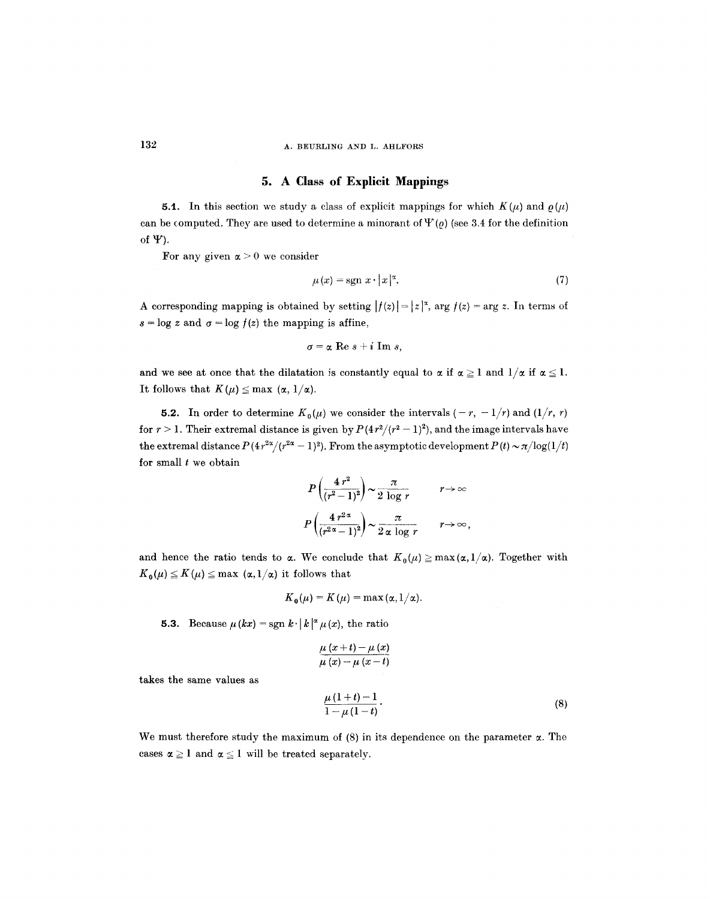## 132 A. BEURLING AND L. AHLFORS

## **5. A Class of Explicit Mappings**

**5.1.** In this section we study a class of explicit mappings for which  $K(\mu)$  and  $\rho(\mu)$ can be computed. They are used to determine a minorant of  $\Psi(\varrho)$  (see 3.4 for the definition of  $\Psi$ ).

For any given  $\alpha > 0$  we consider

$$
\mu(x) = \operatorname{sgn} x \cdot |x|^{\alpha}.\tag{7}
$$

A corresponding mapping is obtained by setting  $|f(z)| = |z|^2$ , arg  $f(z) = \arg z$ . In terms of  $s = \log z$  and  $\sigma = \log f(z)$  the mapping is affine,

$$
\sigma = \alpha \text{ Re } s + i \text{ Im } s,
$$

and we see at once that the dilatation is constantly equal to  $\alpha$  if  $\alpha \geq 1$  and  $1/\alpha$  if  $\alpha \leq 1$ . It follows that  $K(\mu) \leq \max (\alpha, 1/\alpha)$ .

**5.2.** In order to determine  $K_0(\mu)$  we consider the intervals  $(-r, -1/r)$  and  $(1/r, r)$ for  $r > 1$ . Their extremal distance is given by  $P(4r^2/(r^2-1)^2)$ , and the image intervals have the extremal distance  $P(4r^{2\alpha}/(r^{2\alpha}-1)^2)$ . From the asymptotic development  $P(t) \sim \pi/\log(1/t)$ for small  $t$  we obtain

$$
P\left(\frac{4 r^2}{(r^2-1)^2}\right) \sim \frac{\pi}{2 \log r} \qquad r \to \infty
$$
  

$$
P\left(\frac{4 r^{2\alpha}}{(r^{2\alpha}-1)^2}\right) \sim \frac{\pi}{2 \alpha \log r} \qquad r \to \infty,
$$

and hence the ratio tends to  $\alpha$ . We conclude that  $K_0(\mu) \ge \max(\alpha, 1/\alpha)$ . Together with  $K_0(\mu) \leq K(\mu) \leq \max (\alpha, 1/\alpha)$  it follows that

$$
K_{\mathbf{0}}(\mu) = K(\mu) = \max(\alpha, 1/\alpha).
$$

5.3. Because  $\mu(kx) = \text{sgn } k \cdot |k|^{\alpha} \mu(x)$ , the ratio

$$
\frac{\mu(x+t)-\mu(x)}{\mu(x)-\mu(x-t)}
$$

takes the same values as

$$
\frac{\mu(1+t)-1}{1-\mu(1-t)}.
$$
\n(8)

We must therefore study the maximum of  $(8)$  in its dependence on the parameter  $\alpha$ . The cases  $\alpha \geq 1$  and  $\alpha \leq 1$  will be treated separately.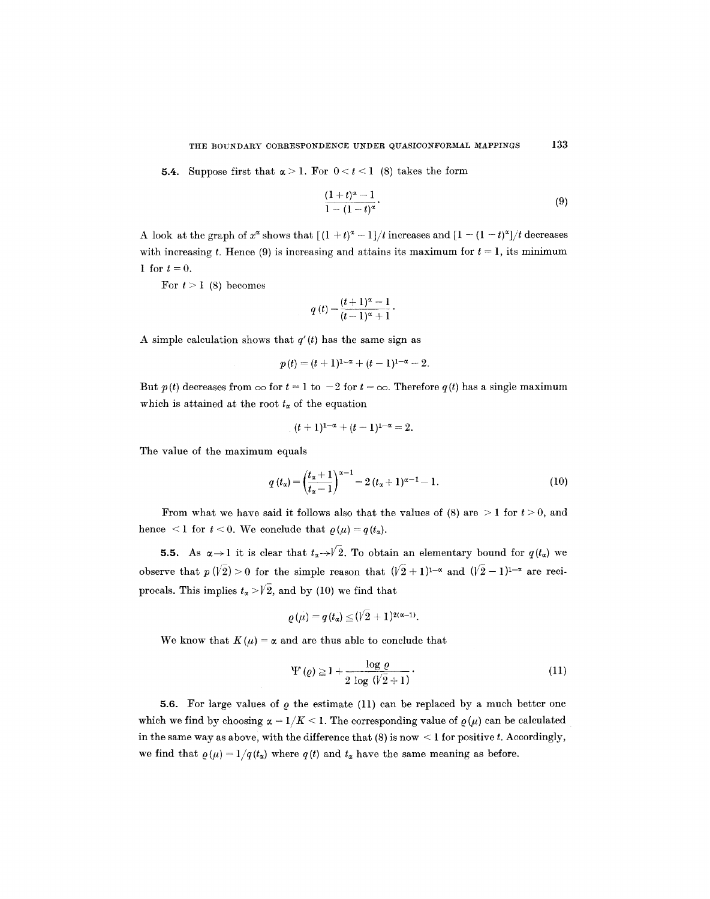**5.4.** Suppose first that  $\alpha > 1$ . For  $0 < t < 1$  (8) takes the form

$$
\frac{(1+t)^{\alpha}-1}{1-(1-t)^{\alpha}}.
$$
\n(9)

A look at the graph of  $x^{\alpha}$  shows that  $[(1 + t)^{\alpha} - 1]/t$  increases and  $[1 - (1 - t)^{\alpha}]/t$  decreases with increasing t. Hence (9) is increasing and attains its maximum for  $t = 1$ , its minimum 1 for  $t = 0$ .

For  $t > 1$  (8) becomes

$$
q(t) = \frac{(t+1)^{\alpha} - 1}{(t-1)^{\alpha} + 1}.
$$

A simple calculation shows that  $q'(t)$  has the same sign as

$$
p(t) = (t+1)^{1-\alpha} + (t-1)^{1-\alpha} - 2.
$$

But  $p(t)$  decreases from  $\infty$  for  $t = 1$  to  $-2$  for  $t = \infty$ . Therefore  $q(t)$  has a single maximum which is attained at the root  $t_{\alpha}$  of the equation

$$
(t+1)^{1-\alpha}+(t-1)^{1-\alpha}=2.
$$

The value of the maximum equals

$$
q(t_{\alpha}) = \left(\frac{t_{\alpha}+1}{t_{\alpha}-1}\right)^{\alpha-1} = 2(t_{\alpha}+1)^{\alpha-1}-1.
$$
 (10)

From what we have said it follows also that the values of  $(8)$  are  $>1$  for  $t > 0$ , and hence <1 for  $t < 0$ . We conclude that  $\rho(\mu) = q(t_{\alpha})$ .

5.5. As  $\alpha \rightarrow 1$  it is clear that  $t_{\alpha} \rightarrow \sqrt{2}$ . To obtain an elementary bound for  $q(t_{\alpha})$  we observe that  $p(\sqrt{2}) > 0$  for the simple reason that  $(\sqrt{2} + 1)^{1-\alpha}$  and  $(\sqrt{2}-1)^{1-\alpha}$  are reciprocals. This implies  $t_{\alpha} > \sqrt{2}$ , and by (10) we find that

$$
\varrho(\mu)=q(t_\alpha)\leq (V2+1)^{2(\alpha-1)}.
$$

We know that  $K(\mu) = \alpha$  and are thus able to conclude that

$$
\Psi\left(\varrho\right) \ge 1 + \frac{\log\varrho}{2\log\left(\sqrt{2} + 1\right)}.\tag{11}
$$

5.6. For large values of  $\rho$  the estimate (11) can be replaced by a much better one which we find by choosing  $\alpha = 1/K < 1$ . The corresponding value of  $\varrho(\mu)$  can be calculated in the same way as above, with the difference that  $(8)$  is now  $\leq 1$  for positive t. Accordingly, we find that  $\varrho(\mu) = 1/q(t_{\alpha})$  where  $q(t)$  and  $t_{\alpha}$  have the same meaning as before.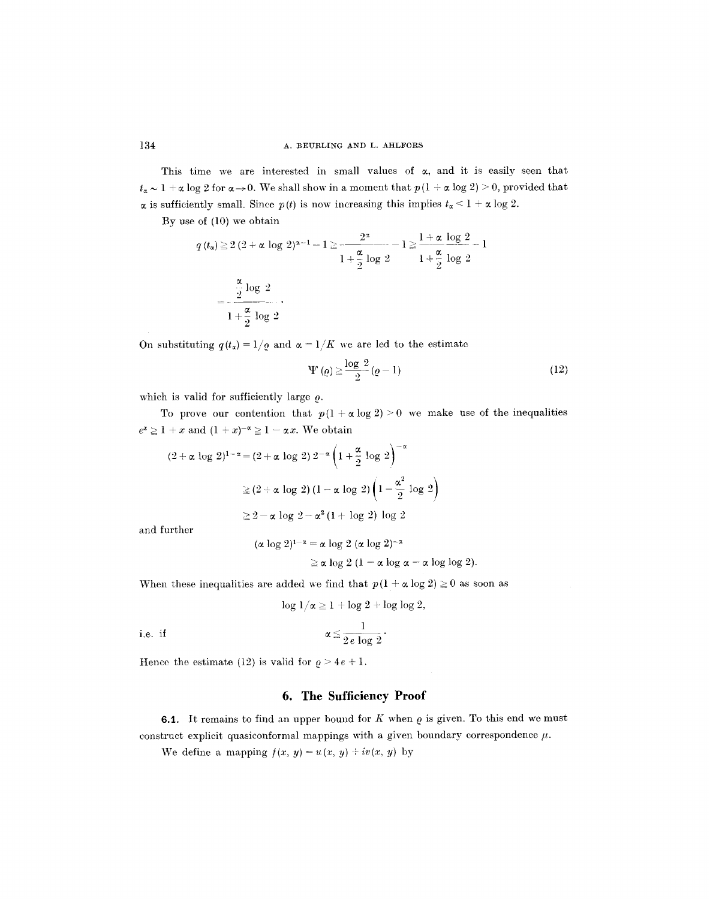This time we are interested in small values of  $\alpha$ , and it is easily seen that  $t_{\alpha} \sim 1 + \alpha \log 2$  for  $\alpha \rightarrow 0$ . We shall show in a moment that  $p(1 + \alpha \log 2) \ge 0$ , provided that  $\alpha$  is sufficiently small. Since  $p(t)$  is now increasing this implies  $t_{\alpha} < 1 + \alpha \log 2$ .

By use of (10) we obtain

$$
q(t_{\alpha}) \ge 2(2+\alpha \log 2)^{\alpha-1} - 1 \ge \frac{2^{\alpha}}{1+\frac{\alpha}{2}\log 2} - 1 \ge \frac{1+\alpha \log 2}{1+\frac{\alpha}{2}\log 2} - 1
$$

$$
= \frac{\frac{\alpha}{2}\log 2}{1+\frac{\alpha}{2}\log 2}.
$$

On substituting  $q(t_x) = 1/q$  and  $\alpha = 1/K$  we are led to the estimate

$$
\Psi\left(\varrho\right) \geq \frac{\log 2}{2} \left(\varrho - 1\right) \tag{12}
$$

which is valid for sufficiently large  $\rho$ .

To prove our contention that  $p(1 + \alpha \log 2) > 0$  we make use of the inequalities  $e^x \ge 1 + x$  and  $(1 + x)^{-\alpha} \ge 1 - \alpha x$ . We obtain

$$
(2+\alpha \log 2)^{1-\alpha} = (2+\alpha \log 2) 2^{-\alpha} \left(1+\frac{\alpha}{2} \log 2\right)^{-\alpha}
$$

$$
\geq (2+\alpha \log 2) (1-\alpha \log 2) \left(1-\frac{\alpha^2}{2} \log 2\right)
$$

$$
\geq 2-\alpha \log 2-\alpha^2 (1+\log 2) \log 2
$$

and further

$$
(\alpha \log 2)^{1-\alpha} = \alpha \log 2 \ (\alpha \log 2)^{-\alpha}
$$
  
\$\geq \alpha \log 2 \ (1 - \alpha \log \alpha - \alpha \log \log 2).\$

When these inequalities are added we find that  $p(1 + \alpha \log 2) \ge 0$  as soon as

$$
\log 1/\alpha \geq 1 + \log 2 + \log \log 2,
$$

i.e. if  $\alpha \le \frac{1}{2e \log 2}$ .

Hence the estimate (12) is valid for  $\rho > 4e + 1$ .

# **6. The Sufficiency Proof**

6.1. It remains to find an upper bound for  $K$  when  $\rho$  is given. To this end we must construct explicit quasiconformal mappings with a given boundary correspondence  $\mu$ .

We define a mapping  $f(x, y) = u(x, y) + iv(x, y)$  by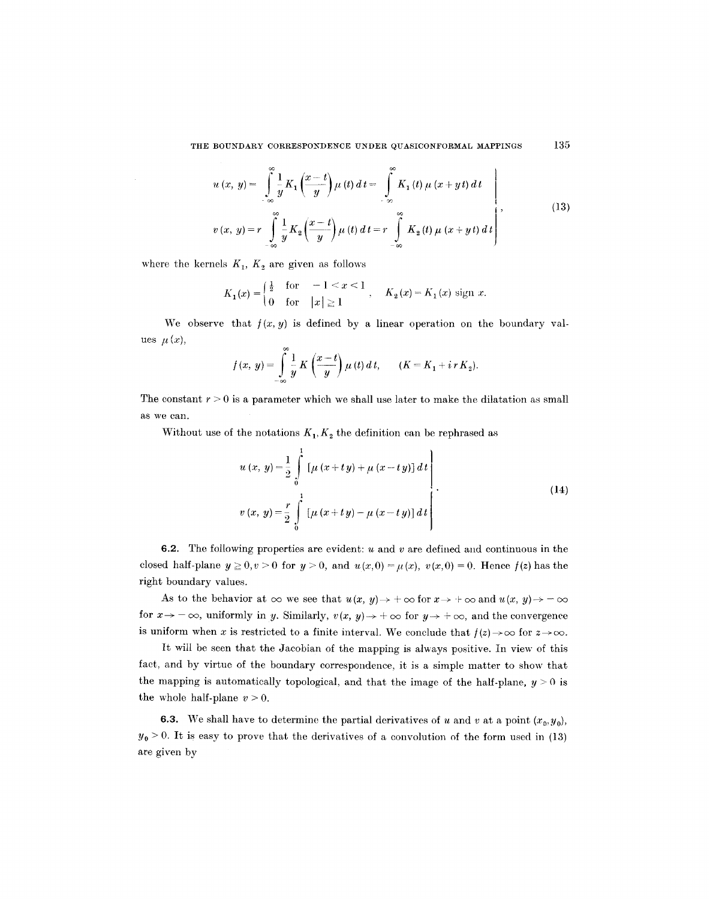$$
u(x, y) = \int_{-\infty}^{\infty} \frac{1}{y} K_1 \left( \frac{x - t}{y} \right) \mu(t) dt = \int_{-\infty}^{\infty} K_1(t) \mu(x + yt) dt
$$
  

$$
v(x, y) = r \int_{-\infty}^{\infty} \frac{1}{y} K_2 \left( \frac{x - t}{y} \right) \mu(t) dt = r \int_{-\infty}^{\infty} K_2(t) \mu(x + yt) dt
$$
 (13)

where the kernels  $K_1$ ,  $K_2$  are given as follows

$$
K_1(x) = \begin{cases} \frac{1}{2} & \text{for } -1 < x < 1 \\ 0 & \text{for } |x| \ge 1 \end{cases}, \quad K_2(x) = K_1(x) \text{ sign } x.
$$

We observe that  $f(x, y)$  is defined by a linear operation on the boundary values  $\mu(x)$ ,

$$
f(x, y) = \int_{-\infty}^{\infty} \frac{1}{y} K\left(\frac{x-t}{y}\right) \mu(t) dt, \qquad (K = K_1 + i r K_2).
$$

The constant  $r > 0$  is a parameter which we shall use later to make the dilatation as small as we can.

Without use of the notations  $K_1, K_2$  the definition can be rephrased as

$$
u(x, y) = \frac{1}{2} \int_{0}^{1} [\mu (x + ty) + \mu (x - ty)] dt
$$
  

$$
v(x, y) = \frac{r}{2} \int_{0}^{1} [\mu (x + ty) - \mu (x - ty)] dt
$$
 (14)

**6.2.** The following properties are evident:  $u$  and  $v$  are defined and continuous in the closed half-plane  $y \ge 0, v > 0$  for  $y > 0$ , and  $u(x,0) = u(x), v(x,0) = 0$ . Hence  $f(z)$  has the right boundary values.

As to the behavior at  $\infty$  we see that  $u(x, y) \to +\infty$  for  $x \to +\infty$  and  $u(x, y) \to -\infty$ for  $x \to -\infty$ , uniformly in y. Similarly,  $v(x, y) \to +\infty$  for  $y \to +\infty$ , and the convergence is uniform when x is restricted to a finite interval. We conclude that  $f(z) \rightarrow \infty$  for  $z \rightarrow \infty$ .

It will be seen that the Jacobian of the mapping is always positive. In view of this fact, and by virtue of the boundary correspondence, it is a simple matter to show that the mapping is automatically topological, and that the image of the half-plane,  $y > 0$  is the whole half-plane  $v > 0$ .

6.3. We shall have to determine the partial derivatives of u and v at a point  $(x_0, y_0)$ ,  $y_0 > 0$ . It is easy to prove that the derivatives of a convolution of the form used in (13) are given by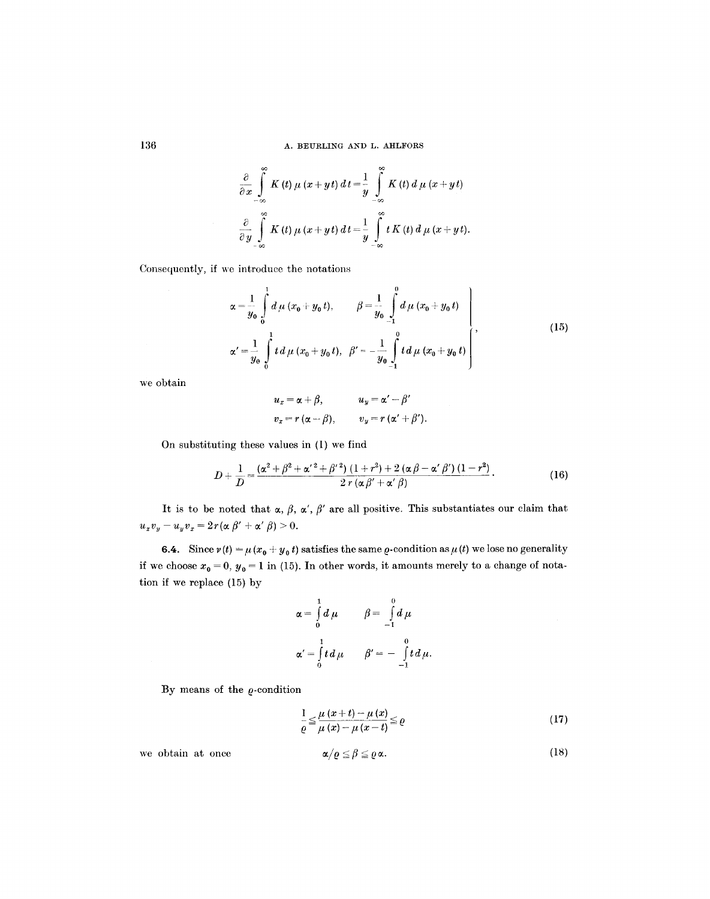$$
\frac{\partial}{\partial x}\int_{-\infty}^{\infty} K(t) \mu (x+yt) dt = \frac{1}{y}\int_{-\infty}^{\infty} K(t) d\mu (x+yt)
$$
  

$$
\frac{\partial}{\partial y}\int_{-\infty}^{\infty} K(t) \mu (x+yt) dt = \frac{1}{y}\int_{-\infty}^{\infty} t K(t) d\mu (x+yt).
$$

Consequently, if we introduce the notations

$$
\alpha = \frac{1}{y_0} \int_0^1 d\mu (x_0 + y_0 t), \qquad \beta = \frac{1}{y_0} \int_0^0 d\mu (x_0 + y_0 t)
$$
  

$$
\alpha' = \frac{1}{y_0} \int_0^1 t d\mu (x_0 + y_0 t), \quad \beta' = -\frac{1}{y_0} \int_0^0 t d\mu (x_0 + y_0 t)
$$
 (15)

we obtain

$$
u_x = \alpha + \beta, \qquad u_y = \alpha' - \beta'
$$
  

$$
v_x = r(\alpha - \beta), \qquad v_y = r(\alpha' + \beta').
$$

On substituting these values in (1) we find

$$
D+\frac{1}{D}=\frac{(\alpha^2+\beta^2+\alpha'^2+\beta'^2)(1+r^2)+2(\alpha\beta-\alpha'\beta')(1-r^2)}{2r(\alpha\beta'+\alpha'\beta)}.
$$
 (16)

It is to be noted that  $\alpha$ ,  $\beta$ ,  $\alpha'$ ,  $\beta'$  are all positive. This substantiates our claim that  $u_xv_y - u_yv_x = 2r(\alpha \beta' + \alpha' \beta) > 0.$ 

**6.4.** Since  $v(t) = \mu(x_0 + y_0 t)$  satisfies the same  $\rho$ -condition as  $\mu(t)$  we lose no generality if we choose  $x_0 = 0$ ,  $y_0 = 1$  in (15). In other words, it amounts merely to a change of notation if we replace (15) by

$$
\alpha = \int_{0}^{1} d\mu \qquad \beta = \int_{-1}^{0} d\mu
$$

$$
\alpha' = \int_{0}^{1} t d\mu \qquad \beta' = -\int_{-1}^{0} t d\mu.
$$

By means of the  $\varrho$ -condition

$$
\frac{1}{\varrho} \leq \frac{\mu(x+t) - \mu(x)}{\mu(x) - \mu(x-t)} \leq \varrho
$$
\n(17)

we obtain at once  $\alpha/\varrho \leq$ 

$$
\alpha/\varrho \leq \beta \leq \varrho \alpha. \tag{18}
$$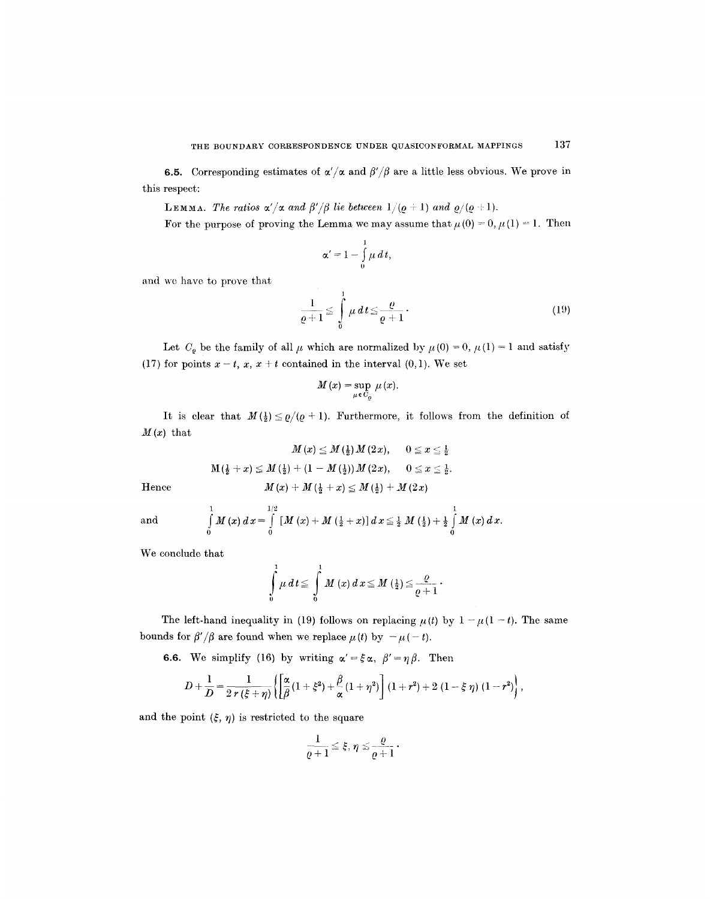6.5. Corresponding estimates of  $\alpha'/\alpha$  and  $\beta'/\beta$  are a little less obvious. We prove in this respect:

LEMMA. The ratios  $\alpha'/\alpha$  and  $\beta'/\beta$  lie between  $1/(q + 1)$  and  $\varrho/(q + 1)$ .

For the purpose of proving the Lemma we may assume that  $\mu(0) = 0, \mu(1) = 1$ . Then

$$
\alpha'=1-\int\limits_0^1\mu\,d\,t,
$$

and we have to prove that

$$
\frac{1}{\varrho+1} \le \int\limits_0^1 \mu \, dt \le \frac{\varrho}{\varrho+1} \,. \tag{19}
$$

Let  $C_{\varrho}$  be the family of all  $\mu$  which are normalized by  $\mu(0) = 0$ ,  $\mu(1) = 1$  and satisfy (17) for points  $x - t$ ,  $x$ ,  $x + t$  contained in the interval (0,1). We set

$$
M(x)=\sup_{\mu\,\epsilon\,C_{\varrho}}\,\mu\,(x).
$$

It is clear that  $M(\frac{1}{2}) \leq \varrho/(\varrho + 1)$ . Furthermore, it follows from the definition of  $M(x)$  that

$$
M\left(x\right)\leq M\left(\frac{1}{2}\right)M\left(2\,x\right),\hspace{0.5cm}0\leq x\leq \frac{1}{2}.
$$
 Hence  

$$
M\left(\frac{1}{2}+x\right)\leq M\left(\frac{1}{2}\right)+\left(1-M\left(\frac{1}{2}\right)\right)M\left(2\,x\right),\hspace{0.5cm}0\leq x\leq \frac{1}{2}.
$$
 Hence  

$$
M\left(x\right)+M\left(\frac{1}{2}+x\right)\leq M\left(\frac{1}{2}\right)+M\left(2\,x\right).
$$

and 
$$
\int_{0}^{1} M(x) dx = \int_{0}^{1/2} [M(x) + M(\frac{1}{2} + x)] dx \leq \frac{1}{2} M(\frac{1}{2}) + \frac{1}{2} \int_{0}^{1} M(x) dx.
$$

We conclude that

$$
\int\limits_0^1\mu\,d\,t\leq\,\int\limits_0^1\,M\,(x)\,d\,x\leq M\;(\tfrac{1}{2})\leq\frac{\varrho}{\varrho+1}\,.
$$

The left-hand inequality in (19) follows on replacing  $\mu(t)$  by  $1 - \mu(1 - t)$ . The same bounds for  $\beta'/\beta$  are found when we replace  $\mu(t)$  by  $-\mu(-t)$ .

**6.6.** We simplify (16) by writing  $\alpha' = \xi \alpha$ ,  $\beta' = \eta \beta$ . Then

$$
D+\frac{1}{D}=\frac{1}{2\,r\,(\xi+\eta)}\left\{\left[\frac{\alpha}{\beta}\,(1+\xi^2)+\frac{\beta}{\alpha}\,(1+\eta^2)\right](1+r^2)+2\,(1-\xi\,\eta)\,(1-r^2)\right\},\,
$$

and the point  $({\xi}, \eta)$  is restricted to the square

$$
\frac{1}{\varrho+1}\leq \xi,\,\eta\leq \frac{\varrho}{\varrho+1}.
$$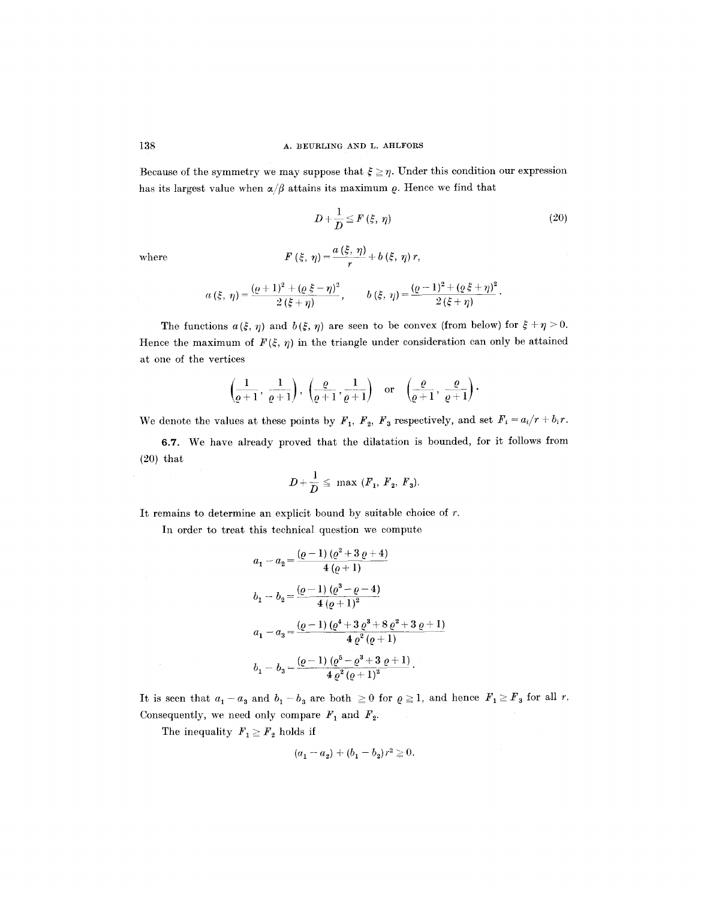Because of the symmetry we may suppose that  $\xi \ge \eta$ . Under this condition our expression has its largest value when  $\alpha/\beta$  attains its maximum  $\rho$ . Hence we find that

$$
D + \frac{1}{D} \leq F(\xi, \eta) \tag{20}
$$

 $\bf where$ 

$$
F(\xi, \eta) = \frac{a(\xi, \eta)}{r} + b(\xi, \eta) r,
$$

$$
a(\xi, \eta) = \frac{(\varrho + 1)^2 + (\varrho \xi - \eta)^2}{2(\xi + \eta)}, \qquad b(\xi, \eta) = \frac{(\varrho - 1)^2 + (\varrho \xi + \eta)^2}{2(\xi + \eta)}.
$$

The functions  $a(\xi, \eta)$  and  $b(\xi, \eta)$  are seen to be convex (from below) for  $\xi + \eta > 0$ . Hence the maximum of  $F(\xi, \eta)$  in the triangle under consideration can only be attained at one of the vertices

$$
\left(\frac{1}{\varrho+1},\, \frac{1}{\varrho+1}\right),\ \left(\frac{\varrho}{\varrho+1},\frac{1}{\varrho+1}\right) \quad \text{or} \quad \left(\frac{\varrho}{\varrho+1},\, \frac{\varrho}{\varrho+1}\right).
$$

We denote the values at these points by  $F_1$ ,  $F_2$ ,  $F_3$  respectively, and set  $F_i = a_i/r + b_ir$ .

6.7. We have already proved that the dilatation is bounded, for it follows from (20) that

$$
D+\frac{1}{D}\leq \max (F_1, F_2, F_3).
$$

It remains to determine an explicit bound by suitable choice of r.

In order to treat this technical question we compute

$$
a_1 - a_2 = \frac{(e-1) (e^2 + 3 e + 4)}{4 (e+1)}
$$
  
\n
$$
b_1 - b_2 = \frac{(e-1) (e^3 - e - 4)}{4 (e+1)^2}
$$
  
\n
$$
a_1 - a_3 = \frac{(e-1) (e^4 + 3 e^3 + 8 e^2 + 3 e + 1)}{4 e^2 (e+1)}
$$
  
\n
$$
b_1 - b_3 = \frac{(e-1) (e^5 - e^3 + 3 e + 1)}{4 e^2 (e+1)^2}.
$$

It is seen that  $a_1 - a_3$  and  $b_1 - b_3$  are both  $\geq 0$  for  $\rho \geq 1$ , and hence  $F_1 \geq F_3$  for all r. Consequently, we need only compare  $F_1$  and  $F_2$ .

The inequality  $F_1 \geq F_2$  holds if

$$
(a_1 - a_2) + (b_1 - b_2) r^2 \ge 0.
$$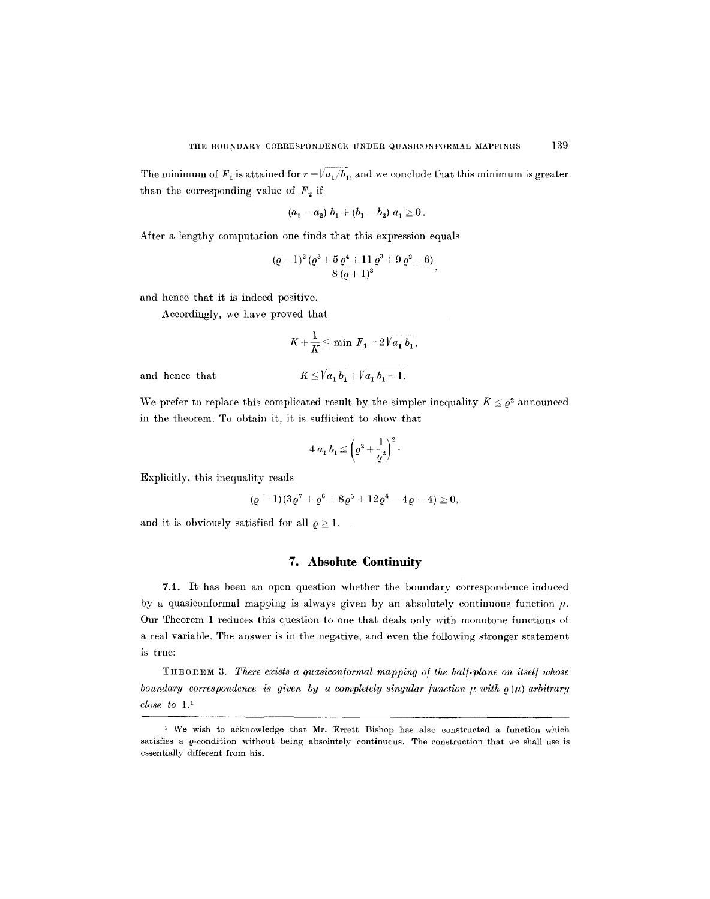The minimum of  $F_1$  is attained for  $r = \sqrt{a_1/b_1}$ , and we conclude that this minimum is greater than the corresponding value of  $F<sub>2</sub>$  if

$$
(a_1 - a_2) b_1 + (b_1 - b_2) a_1 \ge 0.
$$

After a lengthy computation one finds that this expression equals

$$
\frac{(\varrho-1)^2(\varrho^5+5\,\varrho^4+11\,\varrho^3+9\,\varrho^2-6)}{8\,(\varrho+1)^3},
$$

and hence that it is indeed positive.

Accordingly, we have proved that

$$
K + \frac{1}{K} \leq \min \ F_1 = 2\sqrt{a_1 \ b_1},
$$

and hence that

$$
K \leq \sqrt{a_1 b_1} + \sqrt{a_1 b_1 - 1}.
$$

We prefer to replace this complicated result by the simpler inequality  $K \leq \varrho^2$  announced in the theorem. To obtain it, it is sufficient to show that

$$
4 a_1 b_1 \leq \left(\varrho^2 + \frac{1}{\varrho^2}\right)^2.
$$

Explicitly, this inequality reads

$$
(\varrho-1)(3\varrho^7+\varrho^6+8\varrho^5+12\varrho^4-4\varrho-4)\geqq 0,
$$

and it is obviously satisfied for all  $\rho \geq 1$ .

## **7. Absolute Continuity**

7.1. It has been an open question whether the boundary correspondence induced by a quasiconformal mapping is always given by an absolutely continuous function  $\mu$ . Our Theorem 1 reduces this question to one that deals only with monotone functions of a real variable. The answer is in the negative, and even the following stronger statement is true:

THEOREM 3. *There exists a quasicon/ormal mapping o/the hall-plane on itsel/ whose boundary correspondence is given by a completely singular function*  $\mu$  *with*  $\rho(\mu)$  *arbitrary close to 1.1* 

<sup>&</sup>lt;sup>1</sup> We wish to acknowledge that Mr. Errett Bishop has also constructed a function which satisfies a  $\rho$ -condition without being absolutely continuous. The construction that we shall use is essentially different from his.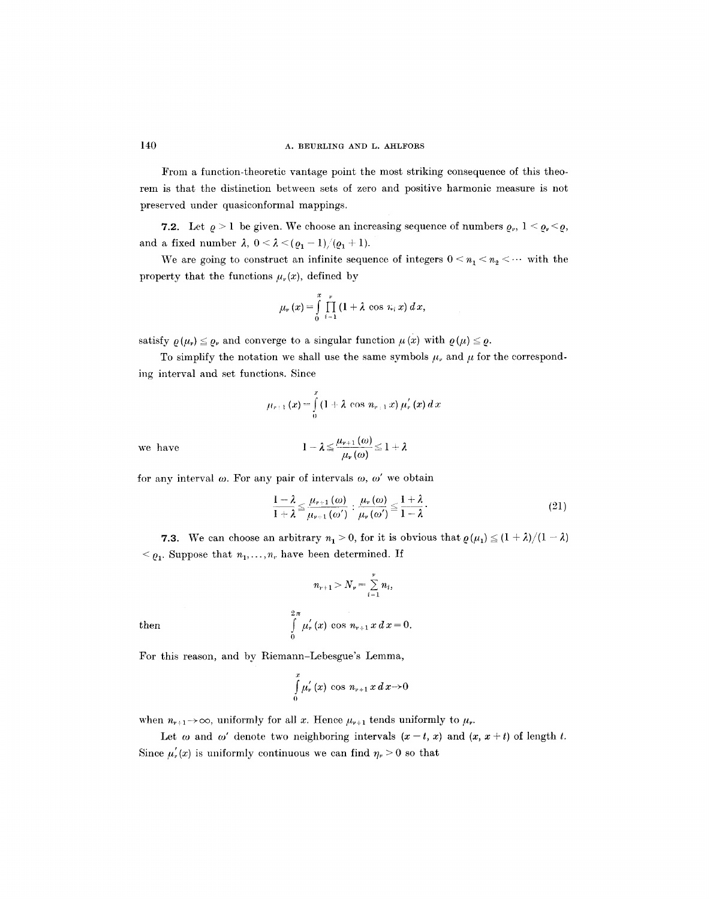From a function-theoretic vantage point the most striking consequence of this theorem is that the distinction between sets of zero and positive harmonic measure is not preserved under quasiconformal mappings.

7.2. Let  $\rho > 1$  be given. We choose an increasing sequence of numbers  $\rho_r$ ,  $1 \leq \rho_r \leq \rho$ , and a fixed number  $\lambda$ ,  $0 < \lambda < (Q_1 - 1)/(Q_1 + 1)$ .

We are going to construct an infinite sequence of integers  $0 \le n_1 \le n_2 \le \cdots$  with the property that the functions  $\mu_{\nu}(x)$ , defined by

$$
\mu_r(x) = \int\limits_0^x \prod_{i=1}^r (1 + \lambda \cos \, \pi_i(x) \, dx,
$$

satisfy  $\rho(\mu_r) \leq \rho_r$  and converge to a singular function  $\mu(x)$  with  $\rho(\mu) \leq \rho$ .

To simplify the notation we shall use the same symbols  $\mu_{\nu}$  and  $\mu$  for the corresponding interval and set functions. Since

$$
\mu_{r+1}(x) = \int_{0}^{x} (1 + \lambda \cos n_{r+1} x) \mu'_{r}(x) dx
$$

we have

$$
1-\lambda \leq \frac{\mu_{\nu+1}\left(\omega\right)}{\mu_{\nu}\left(\omega\right)} \leq 1+\lambda
$$

for any interval  $\omega$ . For any pair of intervals  $\omega$ ,  $\omega'$  we obtain

$$
\frac{1-\lambda}{1+\lambda} \leq \frac{\mu_{\nu+1}(\omega)}{\mu_{\nu+1}(\omega')} : \frac{\mu_{\nu}(\omega)}{\mu_{\nu}(\omega')} \leq \frac{1+\lambda}{1-\lambda}.
$$
\n(21)

**7.3.** We can choose an arbitrary  $n_1 > 0$ , for it is obvious that  $\varrho(\mu_1) \leq (1 + \lambda)/(1 - \lambda)$  $\leq \varrho_1$ . Suppose that  $n_1, \ldots, n_r$  have been determined. If

$$
n_{r+1} > N_r = \sum_{i=1}^r n_i,
$$

then  $\int \mu'_r(x) \cos n_{r+1}x dx=0.$ 

For this reason, and by Riemann-Lebesgue's Lemma,

$$
\int\limits_{0}^{x}\mu_{\nu}^{'}(x)\,\cos\,n_{\nu+1}\,x\,d\,x\rightarrow0
$$

when  $n_{\nu+1}\rightarrow\infty$ , uniformly for all x. Hence  $\mu_{\nu+1}$  tends uniformly to  $\mu_{\nu}$ .

 $2\,\pi$ 

0

Let  $\omega$  and  $\omega'$  denote two neighboring intervals  $(x - t, x)$  and  $(x, x + t)$  of length t. Since  $\mu'_{r}(x)$  is uniformly continuous we can find  $\eta_{r} > 0$  so that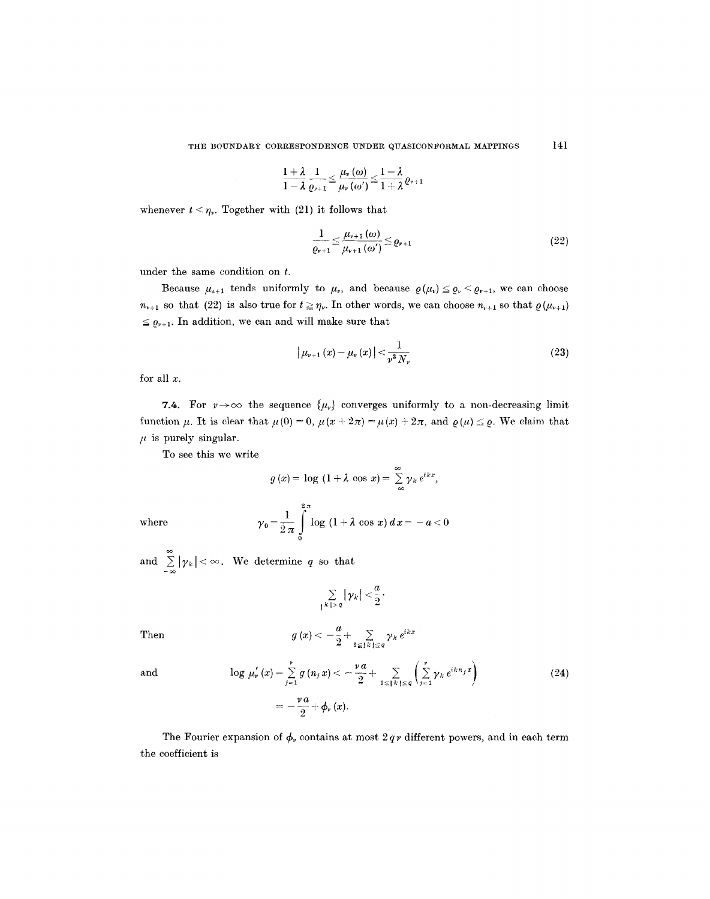$$
\frac{1+\lambda}{1-\lambda}\frac{1}{\varrho_{\nu+1}}\!\leq\!\frac{\mu_{\nu}\left(\omega\right)}{\mu_{\nu}\left(\omega'\right)}\!\leq\!\frac{1-\lambda}{1+\lambda}\varrho_{\nu+1}
$$

whenever  $t < \eta_{\nu}$ . Together with (21) it follows that

$$
\frac{1}{\varrho_{\nu+1}} \le \frac{\mu_{\nu+1}(\omega)}{\mu_{\nu+1}(\omega')} \le \varrho_{\nu+1} \tag{22}
$$

under the same condition on t.

Because  $\mu_{n+1}$  tends uniformly to  $\mu_{n}$ , and because  $\rho(\mu_{n}) \leq \rho_{n} < \rho_{n+1}$ , we can choose  $n_{\nu+1}$  so that (22) is also true for  $t \geq \eta_{\nu}$ . In other words, we can choose  $n_{\nu+1}$  so that  $\rho(\mu_{\nu+1})$  $\leq \varrho_{\nu+1}$ . In addition, we can and will make sure that

$$
\left| \mu_{\nu+1} \left( x \right) - \mu_{\nu} \left( x \right) \right| < \frac{1}{\nu^2 \, N_{\nu}} \tag{23}
$$

for all  $x$ .

7.4. For  $\nu \rightarrow \infty$  the sequence  $\{\mu_{\nu}\}\$  converges uniformly to a non-decreasing limit function  $\mu$ . It is clear that  $\mu (0) = 0$ ,  $\mu (x + 2\pi) = \mu (x) + 2\pi$ , and  $\rho (\mu) \leq \rho$ . We claim that  $\mu$  is purely singular.

To see this we write

$$
g(x) = \log (1 + \lambda \cos x) = \sum_{-\infty}^{\infty} \gamma_k e^{ikx},
$$

where

$$
\gamma_0 = \frac{1}{2 \pi} \int_{0}^{2\pi} \log (1 + \lambda \cos x) \, dx = -a < 0
$$

and  $\sum |\gamma_k| < \infty$ .  $\sum_{-\infty} |\gamma_k| < \infty$ . We determine q so that

$$
\sum_{|k|>q}|\gamma_k|<\frac{a}{2}.
$$

Then 
$$
g(x) < -\frac{a}{2} + \sum_{1 \leq x \leq x} \gamma_k e^{ikx}
$$

and 
$$
\log \mu'_{\nu}(x) = \sum_{j=1}^{\nu} g(n_j x) < -\frac{\nu a}{2} + \sum_{1 \leq |k| \leq q} \left( \sum_{j=1}^{\nu} \gamma_k e^{ikn_j x} \right) = -\frac{\nu a}{2} + \phi_{\nu}(x).
$$
 (24)

The Fourier expansion of  $\phi$ , contains at most  $2 q \nu$  different powers, and in each term the coefficient is